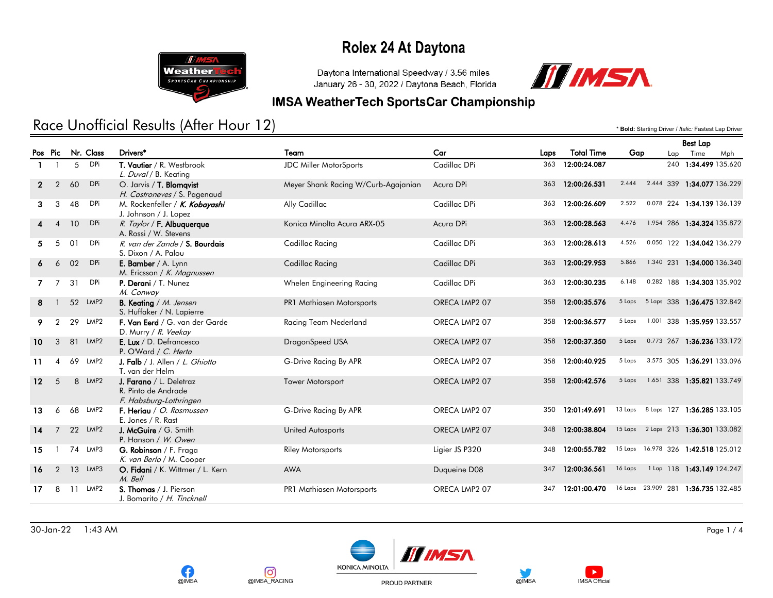

Daytona International Speedway / 3.56 miles January 26 - 30, 2022 / Daytona Beach, Florida



#### **IMSA WeatherTech SportsCar Championship**

## Race Unofficial Results (After Hour 12) **Exactled Access 2.5 Access** 1.49 Driver / *Italic:* Fastest Lap Driver

Nr. Class Drivers\* Team Car Laps Total Time Gap Best Lap Pos Pic Lap Time Mph 1 1 5 DPi T. Vautier / R. Westbrook JDC Miller MotorSports Cadillac DPi 363 12:00:24.087 240 1:34.499 135.620 L. Duval / B. Keating 2 2 60 DPi O. Jarvis / T. Blomqvist Meyer Shank Racing W/Curb-Agajanian Acura DPi 363 12:00:26.531 2.444 2.444 339 1:34.077 136.229 H. Castroneves / S. Pagenaud 3 3 48 DPi M. Rockenfeller / K. Kobayashi Ally Cadillac Cadillac Cadillac DPi 363 12:00:26.609 2.522 0.078 224 1:34.139 136.139 J. Johnson / J. Lopez 4 10 DPi R. Taylor / F. Albuquerque Konica Minolta Acura ARX-05 Acura DPi 363 12:00:28.563 4.476 1.954 286 1:34.324 135.872 A. Rossi / W. Stevens 5 5 01 DPi R. van der Zande / S. Bourdais Cadillac Racing Cadillac Devi Cadillac DPi 363 12:00:28.613 4.526 0.050 122 1:34.042 136.279 S. Dixon / A. Palou 6 6 02 DPi E. Bamber / A. Lynn Cadillac Racing Cadillac DPi Cadillac DPi 363 12:00:29.953 5.866 1.340 231 1:34.000 136.340 M. Ericsson / K. Magnussen 7 7 31 DPi P. Derani / T. Nunez Mhelen Engineering Racing Cadillac DPi 363 12:00:30.235 6.148 0.282 188 1:34.303 135.902 M. Conway 8 1 52 LMP2 B. Keating / M. Jensen **PR1 Mathiasen Motorsports** ORECA LMP2 07 358 12:00:35.576 5 Laps 5 Laps 338 1:36.475 132.842 S. Huffaker / N. Lapierre 9 2 29 LMP2 F. Van Eerd / G. van der Garde Racing Team Nederland ORECA LMP2 07 358 12:00:36.577 5 Laps 1.001 338 1:35.959 133.557 D. Murry / R. Veekay 10 3 81 LMP2 **E. Lux** / D. Defrancesco DragonSpeed USA ORECA LMP2 07 358 12:00:37.350 5 Laps 0.773 267 1:36.236 133.172 P. O'Ward / C. Herta 11 4 69 LMP2 J. Falb / J. Allen / L. Ghiotto G-Drive Racing By APR ORECA LMP2 07 358 12:00:40.925 5 Laps 3.575 305 1:36.291 133.096 T. van der Helm 12 5 8 LMP2 J. Farano / L. Deletraz Tower Motorsport ORECA LMP2 07 358 12:00:42.576 5 Laps 1.651 338 1:35.821 133.749 R. Pinto de Andrade F. Habsburg-Lothringen 13 6 68 LMP2 F. Heriau / O. Rasmussen G-Drive Racing By APR ORECA LMP2 07 350 12:01:49.691 13 Laps 8 Laps 127 1:36.285 133.105 E. Jones / R. Rast 14 7 22 LMP2 J. McGuire / G. Smith United Autosports United Autosports ORECA LMP2 07 348 12:00:38.804 15 Laps 2 Laps 213 1:36.301 133.082 P. Hanson / W. Owen 15 1 74 LMP3 **G. Robinson** / F. Fraga **Riley Motorsports Ligier JS P320** 348 12:00:55.782 <sup>15 Laps 16.978 326 1:42.518 125.012</sup> K. van Berlo / M. Cooper 16 2 13 LMP3 O. Fidani / K. Wittmer / L. Kern AWA AWA Duqueine D08 347 12:00:36.561 16 Laps 1 Lap 118 1:43.149 124.247 M. Bell 17 8 11 LMP2 S. Thomas / J. Pierson PR1 Mathiasen Motorsports ORECA LMP2 07 347 12:01:00.470 16 Laps 23.909 281 1:36.735 132.485 J. Bomarito / H. Tincknell







PROUD PARTNER



**IMSA Official**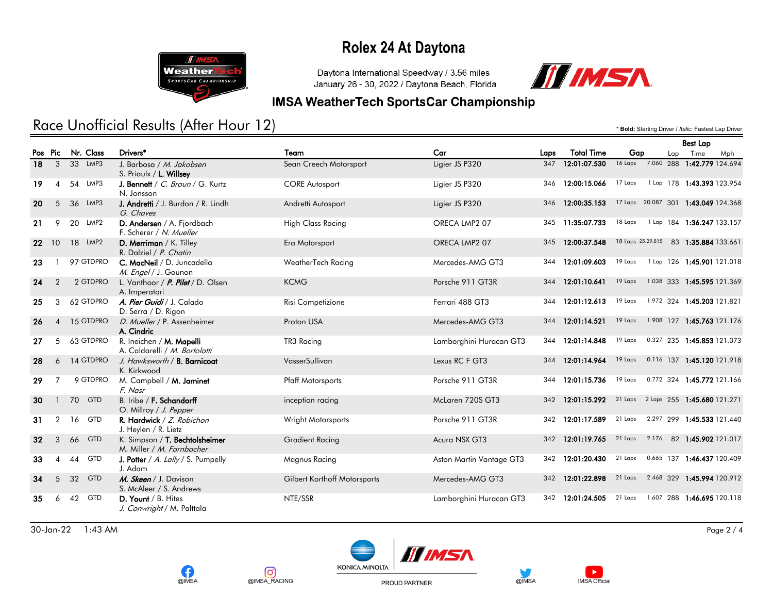

Daytona International Speedway / 3.56 miles January 26 - 30, 2022 / Daytona Beach, Florida



#### **IMSA WeatherTech SportsCar Championship**

## Race Unofficial Results (After Hour 12) **Exactled Access 2.5 Access** 1.49 Driver / *Italic:* Fastest Lap Driver

Nr. Class Drivers\* Team Car Laps Total Time Gap Best Lap Pos Pic Lap Time Mph 18 3 33 LMP3 J. Barbosa / *M. Jakobsen* Sean Creech Motorsport Ligier JS P320 347 12:01:07.530 <sup>16 Laps</sup> 7.060 288 1:42.779 124.694 S. Priaulx / L. Willsey 19 4 54 LMP3 J. Bennett / C. Braun / G. Kurtz CORE Autosport Ligier JS P320 346 12:00:15.066 17 Laps 1 Lap 178 1:43.393 123.954 N. Jonsson 20 5 36 LMP3 J. Andretti / J. Burdon / R. Lindh Andretti Autosport Ligier JS P320 346 12:00:35.153 17 Laps 20.087 301 1:43.049 124.368 G. Chaves 21 9 20 LMP2 **D. Andersen** / A. Fjordbach High Class Racing ORECA LMP2 07 345 11:35:07.733 18 Laps 1 Lap 184 1:36.247 133.157 F. Scherer / N. Mueller 22 10 18 LMP2 D. Merriman / K. Tilley Era Motorsport ORECA LMP2 07 345 12:00:37.548 18 Laps 25:29.815 83 1:35.884 133.661 R. Dalziel / P. Chatin 23 1 97 GTDPRO C. MacNeil / D. Juncadella WeatherTech Racing Mercedes-AMG GT3 344 12:01:09.603 19 Laps 1 Lap 126 1:45.901 121.018 M. Engel / J. Gounon 24 2 2 GTDPRO L. Vanthoor / P. Pilet / D. Olsen KCMG RCMG Porsche 911 GT3R 344 12:01:10.641 <sup>19 Laps</sup> 1.038 333 1:45.595 121.369 A. Imperatori 25 3 62 GTDPRO A. Pier Guidi / J. Calado Risi Competizione Risi Competizione Ferrari 488 GT3 344 12:01:12.613 19 Laps 1.972 324 1:45.203 121.821 D. Serra / D. Rigon 26 4 15 GTDPRO D. Mueller / P. Assenheimer Proton USA Proton USA Mercedes-AMG GT3 344 12:01:14.521 19 Laps 1.908 127 1:45.763 121.176 A. Cindric 27 5 63 GTDPRO R. Ineichen / M. Mapelli TR3 Racing TR3 Racing Lamborghini Huracan GT3 344 12:01:14.848 <sup>19 Laps 0.327</sup> 235 1:45.853 121.073 A. Caldarelli / M. Bortolotti 28 6 14 GTDPRO J. Hawksworth / B. Barnicoat VasserSullivan VasserSullivan Lexus RC F GT3 344 12:01:14.964 <sup>19 Laps 0.116</sup> 137 1:45.120 121.918 K. Kirkwood 29 7 9 GTDPRO M. Campbell / M. Jaminet Pfaff Motorsports Porsche 911 GT3R 344 12:01:15.736 19 Laps 0.772 324 1:45.772 121.166 F. Nasr 30 1 70 GTD B. Iribe / F. Schandorff **inception racing McLaren 720S GT3** 342 12:01:15.292 <sup>21 Laps</sup> 2 Laps 255 1:45.680 121.271 O. Millroy / J. Pepper 31 2 16 GTD R. Hardwick / Z. Robichon Wright Motorsports Porsche 911 GT3R 342 12:01:17.589 <sup>21 Laps 2.297</sup> 299 1:45.533 121.440 J. Heylen / R. Lietz 32 3 66 GTD K. Simpson / T. Bechtolsheimer Gradient Racing Acura NSX GT3 342 12:01:19.765 21 Laps 2.176 82 1:45.902 121.017 M. Miller / M. Farnbacher 33 4 44 GTD J. Potter / A. Lally / S. Pumpelly Magnus Racing Aston Martin Vantage GT3 342 12:01:20.430 21 Laps 0.665 137 1:46.437 120.409 J. Adam 34 5 32 GTD *M. Skeen* / J. Davison Gilbert Korthoff Motorsports Mercedes-AMG GT3 342 12:01:22.898 <sup>21 Laps 2.468</sup> 329 1:45.994 120.912 S. McAleer / S. Andrews 35 6 42 GTD **D. Yount** / B. Hites NTE/SSR NTE/SSR Lamborghini Huracan GT3 342 12:01:24.505 21 Laps 1.607 288 1:46.695 120.118 J. Conwright / M. Palttala

30-Jan-22 1:43 AM Page 2 / 4







PROUD PARTNER



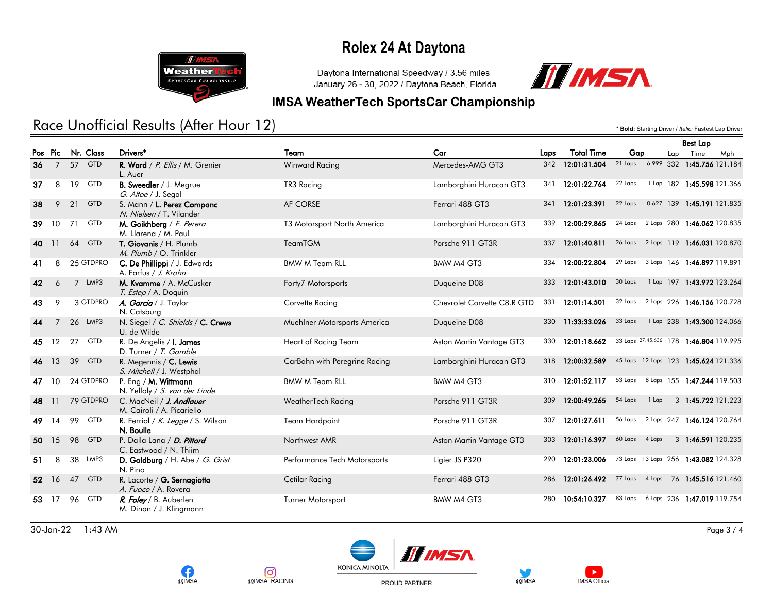

Daytona International Speedway / 3.56 miles January 26 - 30, 2022 / Daytona Beach, Florida



Best Lap

### **IMSA WeatherTech SportsCar Championship**

## Race Unofficial Results (After Hour 12) **Exactes Lap Driver /** *Italic:* **Fastest Lap** Driver / *Italic:* Fastest Lap Driver

|                 |                |    |            |                                                          |                               |                             |      |                   |                |       |     | <b>Best Lap</b>                        |     |
|-----------------|----------------|----|------------|----------------------------------------------------------|-------------------------------|-----------------------------|------|-------------------|----------------|-------|-----|----------------------------------------|-----|
|                 | Pos Pic        |    | Nr. Class  | Drivers*                                                 | Team                          | Car                         | Laps | <b>Total Time</b> | Gap            |       | Lap | Time                                   | Mph |
| 36              | $7^{\circ}$    |    | 57 GTD     | R. Ward / P. Ellis / M. Grenier<br>L. Auer               | Winward Racing                | Mercedes-AMG GT3            |      | 342 12:01:31.504  | 21 Laps        |       |     | 6.999 332 1:45.756 121.184             |     |
| 37              | 8              | 19 | GTD        | B. Sweedler / J. Megrue<br>G. Altoe / J. Segal           | TR3 Racing                    | Lamborghini Huracan GT3     | 341  | 12:01:22.764      | 22 Laps        |       |     | 1 Lap 182 1:45.598 121.366             |     |
| 38              | 9              | 21 | <b>GTD</b> | S. Mann / L. Perez Companc<br>N. Nielsen / T. Vilander   | AF CORSE                      | Ferrari 488 GT3             | 341  | 12:01:23.391      | 22 Laps        |       |     | 0.627 139 1:45.191 121.835             |     |
| 39              | 10             | 71 | <b>GTD</b> | M. Goikhberg / F. Perera<br>M. Llarena / M. Paul         | T3 Motorsport North America   | Lamborghini Huracan GT3     | 339  | 12:00:29.865      |                |       |     | 24 Laps 2 Laps 280 1:46.062 120.835    |     |
| 40              | 11             | 64 | <b>GTD</b> | T. Giovanis / H. Plumb<br>M. Plumb / O. Trinkler         | TeamTGM                       | Porsche 911 GT3R            | 337  | 12:01:40.811      |                |       |     | 26 Laps 2 Laps 119 1:46.031 120.870    |     |
| 41              | 8              |    | 25 GTDPRO  | C. De Phillippi / J. Edwards<br>A. Farfus / J. Krohn     | <b>BMW M Team RLL</b>         | BMW M4 GT3                  | 334  | 12:00:22.804      | 29 Laps        |       |     | 3 Laps 146 1:46.897 119.891            |     |
| 42              | 6              |    | 7 LMP3     | M. Kvamme / A. McCusker<br>T. Estep / A. Doquin          | Forty7 Motorsports            | Duqueine D08                | 333  | 12:01:43.010      | 30 Laps        |       |     | 1 Lap 197 1:43.972 123.264             |     |
| 43              | 9              |    | 3 GTDPRO   | A. Garcia / J. Taylor<br>N. Catsburg                     | Corvette Racing               | Chevrolet Corvette C8.R GTD | 331  | 12:01:14.501      |                |       |     | 32 Laps 2 Laps 226 1:46.156 120.728    |     |
| 44              | $\overline{7}$ |    | 26 LMP3    | N. Siegel / C. Shields / C. Crews<br>U. de Wilde         | Muehlner Motorsports America  | Duqueine D08                |      | 330 11:33:33.026  | 33 Laps        |       |     | 1 Lap 238 1:43.300 124.066             |     |
| 45              | 12             | 27 | GTD        | R. De Angelis / <b>I. James</b><br>D. Turner / T. Gamble | Heart of Racing Team          | Aston Martin Vantage GT3    | 330  | 12:01:18.662      |                |       |     | 33 Laps 27:45.636 178 1:46.804 119.995 |     |
|                 | 46 13          | 39 | <b>GTD</b> | R. Megennis / C. Lewis<br>S. Mitchell / J. Westphal      | CarBahn with Peregrine Racing | Lamborghini Huracan GT3     | 318  | 12:00:32.589      |                |       |     | 45 Laps 12 Laps 123 1:45.624 121.336   |     |
| 47              | 10             |    | 24 GTDPRO  | P. Eng / $M$ . Wittmann<br>N. Yelloly / S. van der Linde | <b>BMW M Team RLL</b>         | BMW M4 GT3                  | 310  | 12:01:52.117      | 53 Laps        |       |     | 8 Laps 155 1:47.244 119.503            |     |
| 48 11           |                |    | 79 GTDPRO  | C. MacNeil / J. Andlauer<br>M. Cairoli / A. Picariello   | WeatherTech Racing            | Porsche 911 GT3R            | 309  | 12:00:49.265      | 54 Laps        | 1 Lap |     | 3 1:45.722 121.223                     |     |
| 49              | 14             | 99 | <b>GTD</b> | R. Ferriol / K. Legge / S. Wilson<br>N. Boulle           | <b>Team Hardpoint</b>         | Porsche 911 GT3R            | 307  | 12:01:27.611      |                |       |     | 56 Laps 2 Laps 247 1:46.124 120.764    |     |
| 50              | 15             | 98 | <b>GTD</b> | P. Dalla Lana / D. Pittard<br>C. Eastwood / N. Thiim     | Northwest AMR                 | Aston Martin Vantage GT3    | 303  | 12:01:16.397      | 60 Laps 4 Laps |       |     | 3 1:46.591 120.235                     |     |
| 51              | 8              |    | 38 LMP3    | D. Goldburg / H. Abe / G. Grist<br>N. Pino               | Performance Tech Motorsports  | Ligier JS P320              | 290  | 12:01:23.006      |                |       |     | 73 Laps 13 Laps 256 1:43.082 124.328   |     |
| 52 <sub>2</sub> | 16             | 47 | <b>GTD</b> | R. Lacorte / G. Sernagiotto<br>A. Fuoco / A. Rovera      | Cetilar Racing                | Ferrari 488 GT3             | 286  | 12:01:26.492      |                |       |     | 77 Laps 4 Laps 76 1:45.516 121.460     |     |
|                 | 53 17          | 96 | GTD        | R. Foley / B. Auberlen<br>M. Dinan / J. Klingmann        | Turner Motorsport             | BMW M4 GT3                  | 280  | 10:54:10.327      | 83 Laps        |       |     | 6 Laps 236 1:47.019 119.754            |     |

30-Jan-22 1:43 AM Page 3 / 4





ତା



PROUD PARTNER